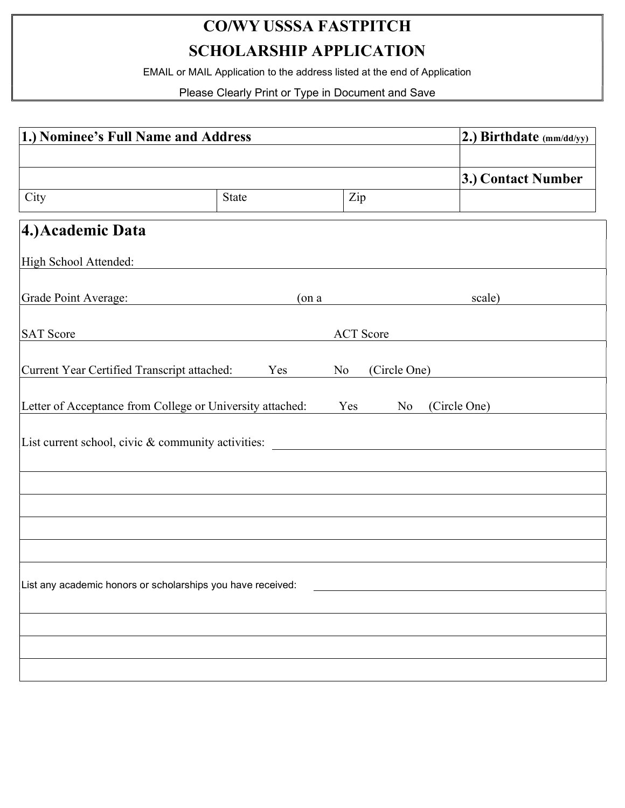# CO/WY USSSA FASTPITCH

SCHOLARSHIP APPLICATION

EMAIL or MAIL Application to the address listed at the end of Application

Please Clearly Print or Type in Document and Save

| 1.) Nominee's Full Name and Address                                                    |          |                  | $(2.)$ Birthdate (mm/dd/yy) |                    |
|----------------------------------------------------------------------------------------|----------|------------------|-----------------------------|--------------------|
|                                                                                        |          |                  |                             |                    |
|                                                                                        |          |                  |                             | 3.) Contact Number |
| City                                                                                   | State    | Zip              |                             |                    |
| 4.) Academic Data                                                                      |          |                  |                             |                    |
| High School Attended:                                                                  |          |                  |                             |                    |
| Grade Point Average:                                                                   | $($ on a |                  |                             | scale)             |
| <b>SAT Score</b>                                                                       |          | <b>ACT</b> Score |                             |                    |
| Current Year Certified Transcript attached:                                            | Yes      | No               | (Circle One)                |                    |
| Letter of Acceptance from College or University attached:<br>(Circle One)<br>Yes<br>No |          |                  |                             |                    |
| List current school, civic & community activities:                                     |          |                  |                             |                    |
|                                                                                        |          |                  |                             |                    |
|                                                                                        |          |                  |                             |                    |
|                                                                                        |          |                  |                             |                    |
|                                                                                        |          |                  |                             |                    |
|                                                                                        |          |                  |                             |                    |
| List any academic honors or scholarships you have received:                            |          |                  |                             |                    |
|                                                                                        |          |                  |                             |                    |
|                                                                                        |          |                  |                             |                    |
|                                                                                        |          |                  |                             |                    |
|                                                                                        |          |                  |                             |                    |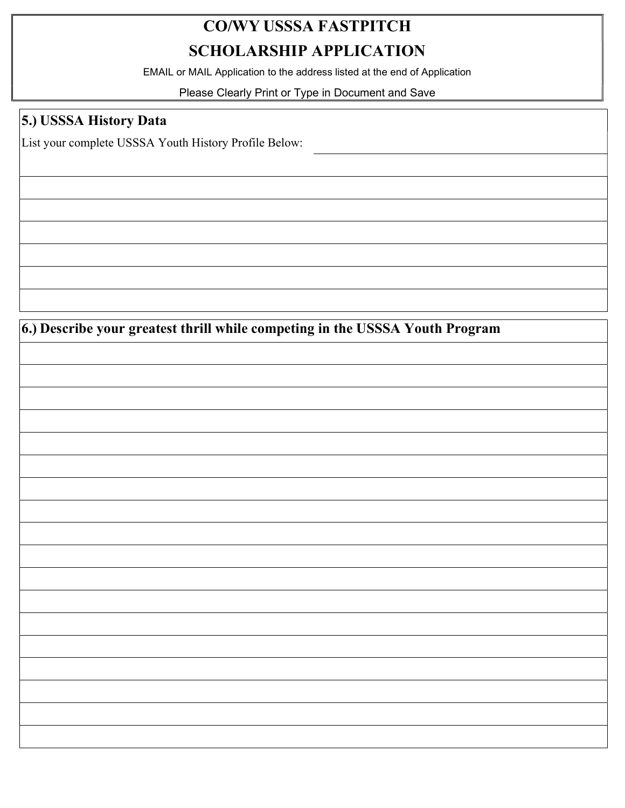## CO/WY USSSA FASTPITCH SCHOLARSHIP APPLICATION

EMAIL or MAIL Application to the address listed at the end of Application

Please Clearly Print or Type in Document and Save

#### 5.) USSSA History Data

List your complete USSSA Youth History Profile Below:

6.) Describe your greatest thrill while competing in the USSSA Youth Program